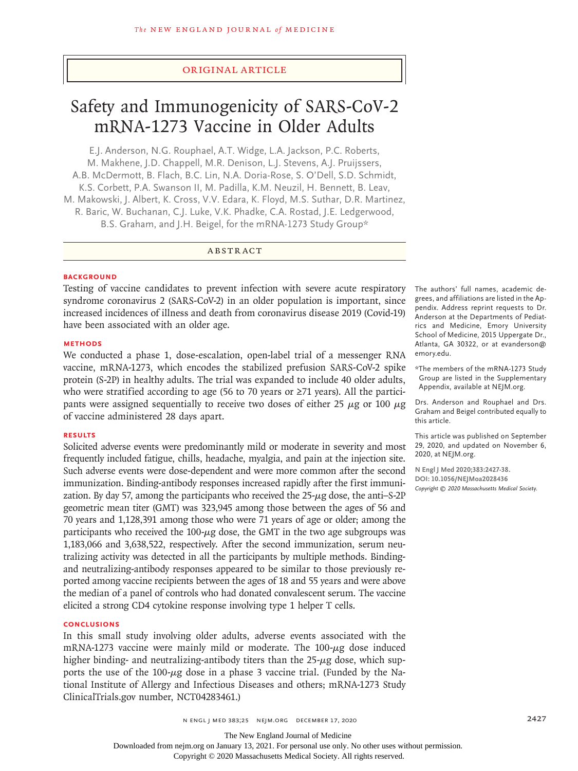## Original Article

# Safety and Immunogenicity of SARS-CoV-2 mRNA-1273 Vaccine in Older Adults

E.J. Anderson, N.G. Rouphael, A.T. Widge, L.A. Jackson, P.C. Roberts, M. Makhene, J.D. Chappell, M.R. Denison, L.J. Stevens, A.J. Pruijssers, A.B. McDermott, B. Flach, B.C. Lin, N.A. Doria-Rose, S. O'Dell, S.D. Schmidt, K.S. Corbett, P.A. Swanson II, M. Padilla, K.M. Neuzil, H. Bennett, B. Leav, M. Makowski, J. Albert, K. Cross, V.V. Edara, K. Floyd, M.S. Suthar, D.R. Martinez, R. Baric, W. Buchanan, C.J. Luke, V.K. Phadke, C.A. Rostad, J.E. Ledgerwood, B.S. Graham, and J.H. Beigel, for the mRNA-1273 Study Group\*

## ABSTRACT

### **BACKGROUND**

Testing of vaccine candidates to prevent infection with severe acute respiratory syndrome coronavirus 2 (SARS-CoV-2) in an older population is important, since increased incidences of illness and death from coronavirus disease 2019 (Covid-19) have been associated with an older age.

#### **METHODS**

We conducted a phase 1, dose-escalation, open-label trial of a messenger RNA vaccine, mRNA-1273, which encodes the stabilized prefusion SARS-CoV-2 spike protein (S-2P) in healthy adults. The trial was expanded to include 40 older adults, who were stratified according to age (56 to 70 years or ≥71 years). All the participants were assigned sequentially to receive two doses of either 25  $\mu$ g or 100  $\mu$ g of vaccine administered 28 days apart.

#### **RESULTS**

Solicited adverse events were predominantly mild or moderate in severity and most frequently included fatigue, chills, headache, myalgia, and pain at the injection site. Such adverse events were dose-dependent and were more common after the second immunization. Binding-antibody responses increased rapidly after the first immunization. By day 57, among the participants who received the  $25-\mu$ g dose, the anti–S-2P geometric mean titer (GMT) was 323,945 among those between the ages of 56 and 70 years and 1,128,391 among those who were 71 years of age or older; among the participants who received the  $100$ - $\mu$ g dose, the GMT in the two age subgroups was 1,183,066 and 3,638,522, respectively. After the second immunization, serum neutralizing activity was detected in all the participants by multiple methods. Bindingand neutralizing-antibody responses appeared to be similar to those previously reported among vaccine recipients between the ages of 18 and 55 years and were above the median of a panel of controls who had donated convalescent serum. The vaccine elicited a strong CD4 cytokine response involving type 1 helper T cells.

#### **CONCLUSIONS**

In this small study involving older adults, adverse events associated with the mRNA-1273 vaccine were mainly mild or moderate. The  $100-\mu$ g dose induced higher binding- and neutralizing-antibody titers than the  $25-\mu g$  dose, which supports the use of the  $100$ - $\mu$ g dose in a phase 3 vaccine trial. (Funded by the National Institute of Allergy and Infectious Diseases and others; mRNA-1273 Study ClinicalTrials.gov number, NCT04283461.)

The authors' full names, academic degrees, and affiliations are listed in the Appendix. Address reprint requests to Dr. Anderson at the Departments of Pediatrics and Medicine, Emory University School of Medicine, 2015 Uppergate Dr., Atlanta, GA 30322, or at evanderson@ emory.edu.

\*The members of the mRNA-1273 Study Group are listed in the Supplementary Appendix, available at NEJM.org.

Drs. Anderson and Rouphael and Drs. Graham and Beigel contributed equally to this article.

This article was published on September 29, 2020, and updated on November 6, 2020, at NEJM.org.

**N Engl J Med 2020;383:2427-38. DOI: 10.1056/NEJMoa2028436** *Copyright © 2020 Massachusetts Medical Society.*

The New England Journal of Medicine

Downloaded from nejm.org on January 13, 2021. For personal use only. No other uses without permission.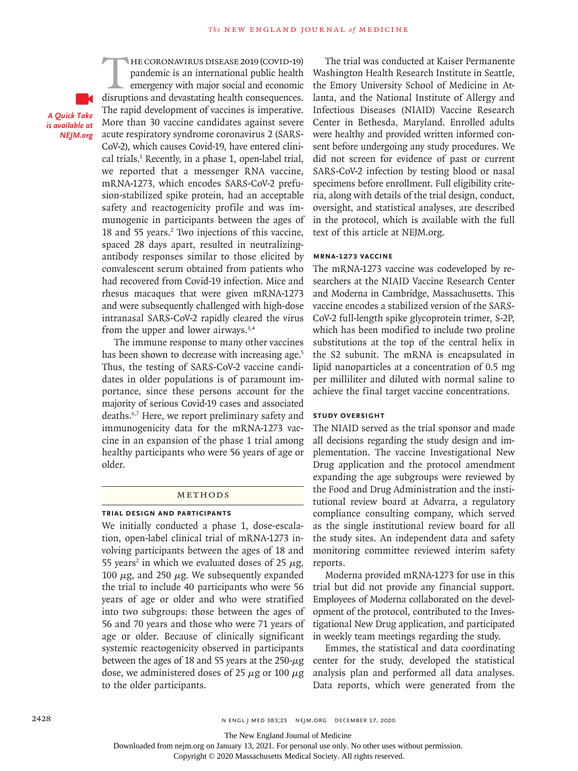*A Quick Take is available at NEJM.org*

HE CORONAVIRUS DISEASE 2019 (COVID-19)<br>pandemic is an international public health<br>emergency with major social and economic<br>disruptions and devastating health consequences. pandemic is an international public health emergency with major social and economic disruptions and devastating health consequences. The rapid development of vaccines is imperative. More than 30 vaccine candidates against severe acute respiratory syndrome coronavirus 2 (SARS-CoV-2), which causes Covid-19, have entered clinical trials.1 Recently, in a phase 1, open-label trial, we reported that a messenger RNA vaccine, mRNA-1273, which encodes SARS-CoV-2 prefusion-stabilized spike protein, had an acceptable safety and reactogenicity profile and was immunogenic in participants between the ages of 18 and 55 years.<sup>2</sup> Two injections of this vaccine, spaced 28 days apart, resulted in neutralizingantibody responses similar to those elicited by convalescent serum obtained from patients who had recovered from Covid-19 infection. Mice and rhesus macaques that were given mRNA-1273 and were subsequently challenged with high-dose intranasal SARS-CoV-2 rapidly cleared the virus from the upper and lower airways.3,4

The immune response to many other vaccines has been shown to decrease with increasing age.<sup>5</sup> Thus, the testing of SARS-CoV-2 vaccine candidates in older populations is of paramount importance, since these persons account for the majority of serious Covid-19 cases and associated deaths.6,7 Here, we report preliminary safety and immunogenicity data for the mRNA-1273 vaccine in an expansion of the phase 1 trial among healthy participants who were 56 years of age or older.

#### Methods

## **Trial Design and Participants**

We initially conducted a phase 1, dose-escalation, open-label clinical trial of mRNA-1273 involving participants between the ages of 18 and 55 years<sup>2</sup> in which we evaluated doses of 25  $\mu$ g, 100  $μ$ g, and 250  $μ$ g. We subsequently expanded the trial to include 40 participants who were 56 years of age or older and who were stratified into two subgroups: those between the ages of 56 and 70 years and those who were 71 years of age or older. Because of clinically significant systemic reactogenicity observed in participants between the ages of 18 and 55 years at the 250- $\mu$ g dose, we administered doses of 25  $\mu$ g or 100  $\mu$ g to the older participants.

The trial was conducted at Kaiser Permanente Washington Health Research Institute in Seattle, the Emory University School of Medicine in Atlanta, and the National Institute of Allergy and Infectious Diseases (NIAID) Vaccine Research Center in Bethesda, Maryland. Enrolled adults were healthy and provided written informed consent before undergoing any study procedures. We did not screen for evidence of past or current SARS-CoV-2 infection by testing blood or nasal specimens before enrollment. Full eligibility criteria, along with details of the trial design, conduct, oversight, and statistical analyses, are described in the protocol, which is available with the full text of this article at NEJM.org.

#### **mRNA-1273 Vaccine**

The mRNA-1273 vaccine was codeveloped by researchers at the NIAID Vaccine Research Center and Moderna in Cambridge, Massachusetts. This vaccine encodes a stabilized version of the SARS-CoV-2 full-length spike glycoprotein trimer, S-2P, which has been modified to include two proline substitutions at the top of the central helix in the S2 subunit. The mRNA is encapsulated in lipid nanoparticles at a concentration of 0.5 mg per milliliter and diluted with normal saline to achieve the final target vaccine concentrations.

#### **Study Oversight**

The NIAID served as the trial sponsor and made all decisions regarding the study design and implementation. The vaccine Investigational New Drug application and the protocol amendment expanding the age subgroups were reviewed by the Food and Drug Administration and the institutional review board at Advarra, a regulatory compliance consulting company, which served as the single institutional review board for all the study sites. An independent data and safety monitoring committee reviewed interim safety reports.

Moderna provided mRNA-1273 for use in this trial but did not provide any financial support. Employees of Moderna collaborated on the development of the protocol, contributed to the Investigational New Drug application, and participated in weekly team meetings regarding the study.

Emmes, the statistical and data coordinating center for the study, developed the statistical analysis plan and performed all data analyses. Data reports, which were generated from the

The New England Journal of Medicine

Downloaded from nejm.org on January 13, 2021. For personal use only. No other uses without permission.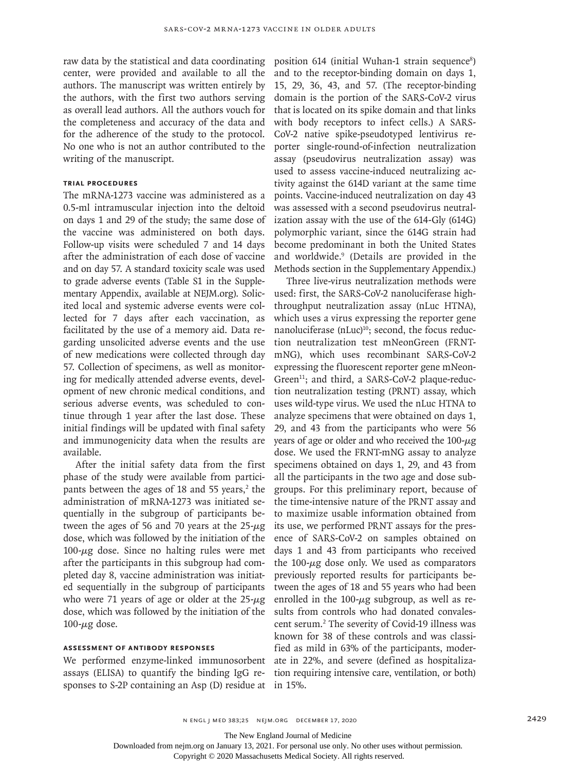raw data by the statistical and data coordinating center, were provided and available to all the authors. The manuscript was written entirely by the authors, with the first two authors serving as overall lead authors. All the authors vouch for the completeness and accuracy of the data and for the adherence of the study to the protocol. No one who is not an author contributed to the writing of the manuscript.

## **Trial Procedures**

The mRNA-1273 vaccine was administered as a 0.5-ml intramuscular injection into the deltoid on days 1 and 29 of the study; the same dose of the vaccine was administered on both days. Follow-up visits were scheduled 7 and 14 days after the administration of each dose of vaccine and on day 57. A standard toxicity scale was used to grade adverse events (Table S1 in the Supplementary Appendix, available at NEJM.org). Solicited local and systemic adverse events were collected for 7 days after each vaccination, as facilitated by the use of a memory aid. Data regarding unsolicited adverse events and the use of new medications were collected through day 57. Collection of specimens, as well as monitoring for medically attended adverse events, development of new chronic medical conditions, and serious adverse events, was scheduled to continue through 1 year after the last dose. These initial findings will be updated with final safety and immunogenicity data when the results are available.

After the initial safety data from the first phase of the study were available from participants between the ages of  $18$  and  $55$  years,<sup>2</sup> the administration of mRNA-1273 was initiated sequentially in the subgroup of participants between the ages of 56 and 70 years at the  $25-\mu$ g dose, which was followed by the initiation of the  $100 - μg$  dose. Since no halting rules were met after the participants in this subgroup had completed day 8, vaccine administration was initiated sequentially in the subgroup of participants who were 71 years of age or older at the  $25-\mu g$ dose, which was followed by the initiation of the  $100 - μg$  dose.

## **Assessment of Antibody Responses**

We performed enzyme-linked immunosorbent assays (ELISA) to quantify the binding IgG responses to S-2P containing an Asp (D) residue at

position 614 (initial Wuhan-1 strain sequence<sup>8</sup>) and to the receptor-binding domain on days 1, 15, 29, 36, 43, and 57. (The receptor-binding domain is the portion of the SARS-CoV-2 virus that is located on its spike domain and that links with body receptors to infect cells.) A SARS-CoV-2 native spike-pseudotyped lentivirus reporter single-round-of-infection neutralization assay (pseudovirus neutralization assay) was used to assess vaccine-induced neutralizing activity against the 614D variant at the same time points. Vaccine-induced neutralization on day 43 was assessed with a second pseudovirus neutralization assay with the use of the 614-Gly (614G) polymorphic variant, since the 614G strain had become predominant in both the United States and worldwide.9 (Details are provided in the Methods section in the Supplementary Appendix.)

Three live-virus neutralization methods were used: first, the SARS-CoV-2 nanoluciferase highthroughput neutralization assay (nLuc HTNA), which uses a virus expressing the reporter gene nanoluciferase  $(nLuc)^{10}$ ; second, the focus reduction neutralization test mNeonGreen (FRNTmNG), which uses recombinant SARS-CoV-2 expressing the fluorescent reporter gene mNeon-Green $^{11}$ ; and third, a SARS-CoV-2 plaque-reduction neutralization testing (PRNT) assay, which uses wild-type virus. We used the nLuc HTNA to analyze specimens that were obtained on days 1, 29, and 43 from the participants who were 56 years of age or older and who received the 100-μg dose. We used the FRNT-mNG assay to analyze specimens obtained on days 1, 29, and 43 from all the participants in the two age and dose subgroups. For this preliminary report, because of the time-intensive nature of the PRNT assay and to maximize usable information obtained from its use, we performed PRNT assays for the presence of SARS-CoV-2 on samples obtained on days 1 and 43 from participants who received the 100- $\mu$ g dose only. We used as comparators previously reported results for participants between the ages of 18 and 55 years who had been enrolled in the  $100-\mu$ g subgroup, as well as results from controls who had donated convalescent serum.2 The severity of Covid-19 illness was known for 38 of these controls and was classified as mild in 63% of the participants, moderate in 22%, and severe (defined as hospitalization requiring intensive care, ventilation, or both) in 15%.

The New England Journal of Medicine

Downloaded from nejm.org on January 13, 2021. For personal use only. No other uses without permission.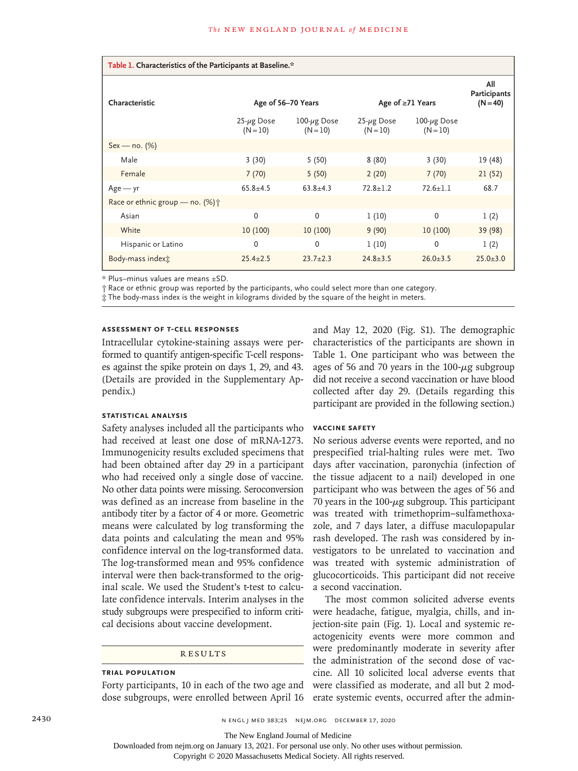| Table 1. Characteristics of the Participants at Baseline.* |                                 |                                  |                                 |                                  |                                   |
|------------------------------------------------------------|---------------------------------|----------------------------------|---------------------------------|----------------------------------|-----------------------------------|
| Characteristic                                             | Age of 56-70 Years              |                                  | Age of $\geq$ 71 Years          |                                  | All<br>Participants<br>$(N = 40)$ |
|                                                            | $25 - \mu g$ Dose<br>$(N = 10)$ | $100 - \mu g$ Dose<br>$(N = 10)$ | $25 - \mu g$ Dose<br>$(N = 10)$ | $100 - \mu g$ Dose<br>$(N = 10)$ |                                   |
| $Sex - no. (%)$                                            |                                 |                                  |                                 |                                  |                                   |
| Male                                                       | 3(30)                           | 5(50)                            | 8(80)                           | 3(30)                            | 19 (48)                           |
| Female                                                     | 7(70)                           | 5(50)                            | 2(20)                           | 7(70)                            | 21(52)                            |
| $Age - yr$                                                 | $65.8 + 4.5$                    | $63.8 + 4.3$                     | $72.8 \pm 1.2$                  | $72.6 \pm 1.1$                   | 68.7                              |
| Race or ethnic group - no. (%) +                           |                                 |                                  |                                 |                                  |                                   |
| Asian                                                      | $\mathbf{0}$                    | $\Omega$                         | 1(10)                           | $\Omega$                         | 1(2)                              |
| White                                                      | 10(100)                         | 10(100)                          | 9(90)                           | 10(100)                          | 39 (98)                           |
| Hispanic or Latino                                         | 0                               | $\Omega$                         | 1(10)                           | $\mathbf{0}$                     | 1(2)                              |
| Body-mass index <sub>i</sub>                               | $25.4 + 2.5$                    | $23.7 + 2.3$                     | $24.8 + 3.5$                    | $26.0 + 3.5$                     | $25.0 \pm 3.0$                    |

\* Plus–minus values are means ±SD.

† Race or ethnic group was reported by the participants, who could select more than one category.

‡ The body-mass index is the weight in kilograms divided by the square of the height in meters.

## **Assessment of T-Cell Responses**

Intracellular cytokine-staining assays were performed to quantify antigen-specific T-cell responses against the spike protein on days 1, 29, and 43. (Details are provided in the Supplementary Appendix.)

#### **Statistical Analysis**

Safety analyses included all the participants who had received at least one dose of mRNA-1273. Immunogenicity results excluded specimens that had been obtained after day 29 in a participant who had received only a single dose of vaccine. No other data points were missing. Seroconversion was defined as an increase from baseline in the antibody titer by a factor of 4 or more. Geometric means were calculated by log transforming the data points and calculating the mean and 95% confidence interval on the log-transformed data. The log-transformed mean and 95% confidence interval were then back-transformed to the original scale. We used the Student's t-test to calculate confidence intervals. Interim analyses in the study subgroups were prespecified to inform critical decisions about vaccine development.

#### **RESULTS**

#### **Trial Population**

Forty participants, 10 in each of the two age and dose subgroups, were enrolled between April 16

and May 12, 2020 (Fig. S1). The demographic characteristics of the participants are shown in Table 1. One participant who was between the ages of 56 and 70 years in the  $100 - \mu$ g subgroup did not receive a second vaccination or have blood collected after day 29. (Details regarding this participant are provided in the following section.)

#### **Vaccine Safety**

No serious adverse events were reported, and no prespecified trial-halting rules were met. Two days after vaccination, paronychia (infection of the tissue adjacent to a nail) developed in one participant who was between the ages of 56 and 70 years in the 100-μg subgroup. This participant was treated with trimethoprim–sulfamethoxazole, and 7 days later, a diffuse maculopapular rash developed. The rash was considered by investigators to be unrelated to vaccination and was treated with systemic administration of glucocorticoids. This participant did not receive a second vaccination.

The most common solicited adverse events were headache, fatigue, myalgia, chills, and injection-site pain (Fig. 1). Local and systemic reactogenicity events were more common and were predominantly moderate in severity after the administration of the second dose of vaccine. All 10 solicited local adverse events that were classified as moderate, and all but 2 moderate systemic events, occurred after the admin-

The New England Journal of Medicine

Downloaded from nejm.org on January 13, 2021. For personal use only. No other uses without permission.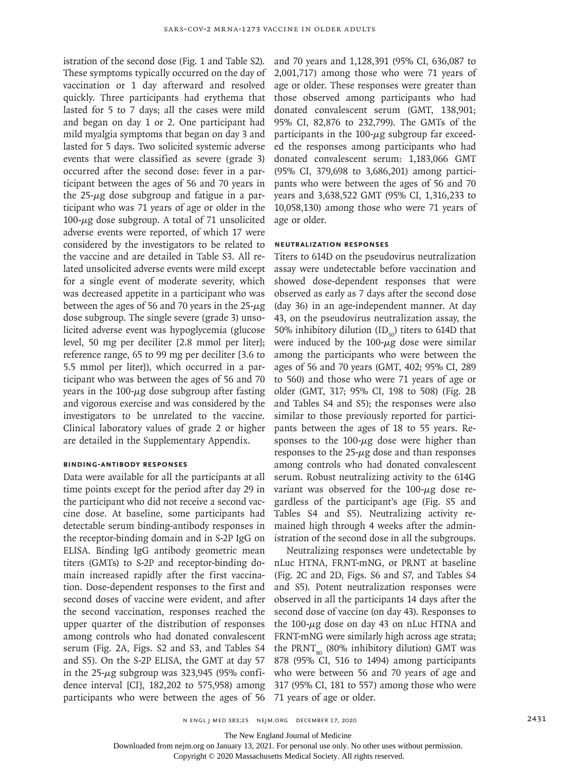istration of the second dose (Fig. 1 and Table S2). These symptoms typically occurred on the day of vaccination or 1 day afterward and resolved quickly. Three participants had erythema that lasted for 5 to 7 days; all the cases were mild and began on day 1 or 2. One participant had mild myalgia symptoms that began on day 3 and lasted for 5 days. Two solicited systemic adverse events that were classified as severe (grade 3) occurred after the second dose: fever in a participant between the ages of 56 and 70 years in the  $25-\mu g$  dose subgroup and fatigue in a participant who was 71 years of age or older in the 100-μg dose subgroup. A total of 71 unsolicited adverse events were reported, of which 17 were considered by the investigators to be related to the vaccine and are detailed in Table S3. All related unsolicited adverse events were mild except for a single event of moderate severity, which was decreased appetite in a participant who was between the ages of 56 and 70 years in the  $25-\mu$ g dose subgroup. The single severe (grade 3) unsolicited adverse event was hypoglycemia (glucose level, 50 mg per deciliter [2.8 mmol per liter]; reference range, 65 to 99 mg per deciliter [3.6 to 5.5 mmol per liter]), which occurred in a participant who was between the ages of 56 and 70 years in the  $100-\mu g$  dose subgroup after fasting and vigorous exercise and was considered by the investigators to be unrelated to the vaccine. Clinical laboratory values of grade 2 or higher are detailed in the Supplementary Appendix.

#### **Binding-Antibody Responses**

Data were available for all the participants at all time points except for the period after day 29 in the participant who did not receive a second vaccine dose. At baseline, some participants had detectable serum binding-antibody responses in the receptor-binding domain and in S-2P IgG on ELISA. Binding IgG antibody geometric mean titers (GMTs) to S-2P and receptor-binding domain increased rapidly after the first vaccination. Dose-dependent responses to the first and second doses of vaccine were evident, and after the second vaccination, responses reached the upper quarter of the distribution of responses among controls who had donated convalescent serum (Fig. 2A, Figs. S2 and S3, and Tables S4 and S5). On the S-2P ELISA, the GMT at day 57 in the  $25-\mu$ g subgroup was 323,945 (95% confidence interval [CI], 182,202 to 575,958) among participants who were between the ages of 56 and 70 years and 1,128,391 (95% CI, 636,087 to 2,001,717) among those who were 71 years of age or older. These responses were greater than those observed among participants who had donated convalescent serum (GMT, 138,901; 95% CI, 82,876 to 232,799). The GMTs of the participants in the  $100 - \mu$ g subgroup far exceeded the responses among participants who had donated convalescent serum: 1,183,066 GMT (95% CI, 379,698 to 3,686,201) among participants who were between the ages of 56 and 70 years and 3,638,522 GMT (95% CI, 1,316,233 to 10,058,130) among those who were 71 years of age or older.

## **Neutralization Responses**

Titers to 614D on the pseudovirus neutralization assay were undetectable before vaccination and showed dose-dependent responses that were observed as early as 7 days after the second dose (day 36) in an age-independent manner. At day 43, on the pseudovirus neutralization assay, the 50% inhibitory dilution  $(ID_{\varepsilon_{0}})$  titers to 614D that were induced by the  $100-\mu$ g dose were similar among the participants who were between the ages of 56 and 70 years (GMT, 402; 95% CI, 289 to 560) and those who were 71 years of age or older (GMT, 317; 95% CI, 198 to 508) (Fig. 2B and Tables S4 and S5); the responses were also similar to those previously reported for participants between the ages of 18 to 55 years. Responses to the  $100-\mu g$  dose were higher than responses to the  $25-\mu g$  dose and than responses among controls who had donated convalescent serum. Robust neutralizing activity to the 614G variant was observed for the 100-μg dose regardless of the participant's age (Fig. S5 and Tables S4 and S5). Neutralizing activity remained high through 4 weeks after the administration of the second dose in all the subgroups.

Neutralizing responses were undetectable by nLuc HTNA, FRNT-mNG, or PRNT at baseline (Fig. 2C and 2D, Figs. S6 and S7, and Tables S4 and S5). Potent neutralization responses were observed in all the participants 14 days after the second dose of vaccine (on day 43). Responses to the 100- $\mu$ g dose on day 43 on nLuc HTNA and FRNT-mNG were similarly high across age strata; the PRNT<sub>s0</sub> (80% inhibitory dilution) GMT was 878 (95% CI, 516 to 1494) among participants who were between 56 and 70 years of age and 317 (95% CI, 181 to 557) among those who were 71 years of age or older.

n engl j med 383;25 nejm.org December 17, 2020 2431

The New England Journal of Medicine

Downloaded from nejm.org on January 13, 2021. For personal use only. No other uses without permission.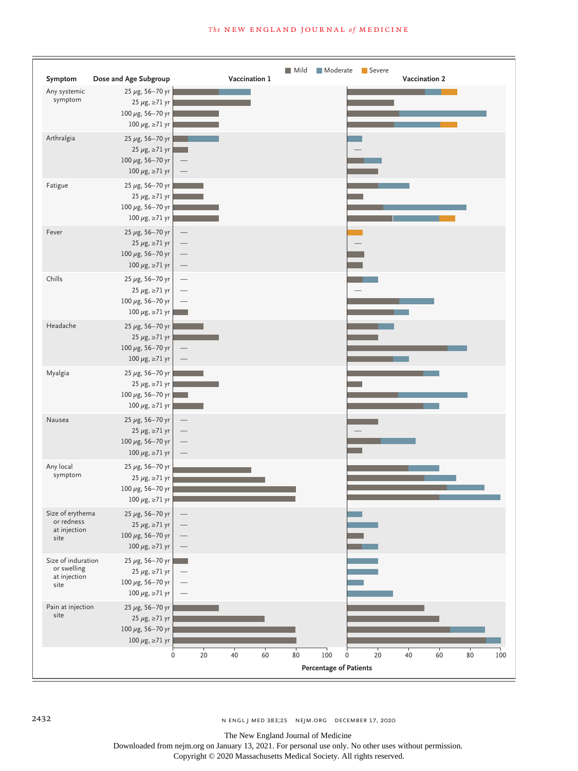

The New England Journal of Medicine

Downloaded from nejm.org on January 13, 2021. For personal use only. No other uses without permission.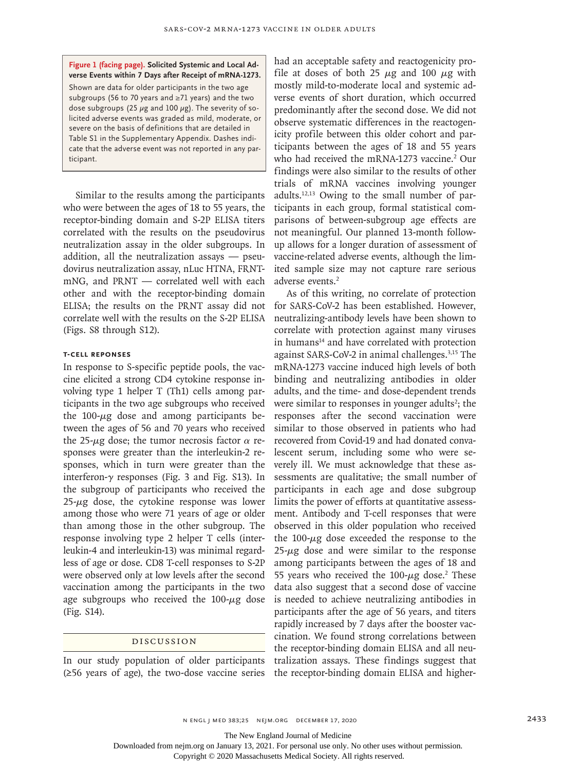**Figure 1 (facing page). Solicited Systemic and Local Adverse Events within 7 Days after Receipt of mRNA-1273.** Shown are data for older participants in the two age subgroups (56 to 70 years and ≥71 years) and the two dose subgroups (25  $\mu$ g and 100  $\mu$ g). The severity of so-

licited adverse events was graded as mild, moderate, or severe on the basis of definitions that are detailed in Table S1 in the Supplementary Appendix. Dashes indicate that the adverse event was not reported in any participant.

Similar to the results among the participants who were between the ages of 18 to 55 years, the receptor-binding domain and S-2P ELISA titers correlated with the results on the pseudovirus neutralization assay in the older subgroups. In addition, all the neutralization assays — pseudovirus neutralization assay, nLuc HTNA, FRNTmNG, and PRNT — correlated well with each other and with the receptor-binding domain ELISA; the results on the PRNT assay did not correlate well with the results on the S-2P ELISA (Figs. S8 through S12).

### **T-Cell Reponses**

In response to S-specific peptide pools, the vaccine elicited a strong CD4 cytokine response involving type 1 helper T (Th1) cells among participants in the two age subgroups who received the 100-μg dose and among participants between the ages of 56 and 70 years who received the 25- $\mu$ g dose; the tumor necrosis factor  $\alpha$  responses were greater than the interleukin-2 responses, which in turn were greater than the interferon-γ responses (Fig. 3 and Fig. S13). In the subgroup of participants who received the  $25-\mu g$  dose, the cytokine response was lower among those who were 71 years of age or older than among those in the other subgroup. The response involving type 2 helper T cells (interleukin-4 and interleukin-13) was minimal regardless of age or dose. CD8 T-cell responses to S-2P were observed only at low levels after the second vaccination among the participants in the two age subgroups who received the  $100-\mu$ g dose (Fig. S14).

### Discussion

In our study population of older participants (≥56 years of age), the two-dose vaccine series had an acceptable safety and reactogenicity profile at doses of both 25  $\mu$ g and 100  $\mu$ g with mostly mild-to-moderate local and systemic adverse events of short duration, which occurred predominantly after the second dose. We did not observe systematic differences in the reactogenicity profile between this older cohort and participants between the ages of 18 and 55 years who had received the mRNA-1273 vaccine.<sup>2</sup> Our findings were also similar to the results of other trials of mRNA vaccines involving younger adults.12,13 Owing to the small number of participants in each group, formal statistical comparisons of between-subgroup age effects are not meaningful. Our planned 13-month followup allows for a longer duration of assessment of vaccine-related adverse events, although the limited sample size may not capture rare serious adverse events.<sup>2</sup>

As of this writing, no correlate of protection for SARS-CoV-2 has been established. However, neutralizing-antibody levels have been shown to correlate with protection against many viruses in humans<sup>14</sup> and have correlated with protection against SARS-CoV-2 in animal challenges.3,15 The mRNA-1273 vaccine induced high levels of both binding and neutralizing antibodies in older adults, and the time- and dose-dependent trends were similar to responses in younger adults<sup>2</sup>; the responses after the second vaccination were similar to those observed in patients who had recovered from Covid-19 and had donated convalescent serum, including some who were severely ill. We must acknowledge that these assessments are qualitative; the small number of participants in each age and dose subgroup limits the power of efforts at quantitative assessment. Antibody and T-cell responses that were observed in this older population who received the  $100 - \mu$ g dose exceeded the response to the  $25-\mu g$  dose and were similar to the response among participants between the ages of 18 and 55 years who received the  $100 - \mu g$  dose.<sup>2</sup> These data also suggest that a second dose of vaccine is needed to achieve neutralizing antibodies in participants after the age of 56 years, and titers rapidly increased by 7 days after the booster vaccination. We found strong correlations between the receptor-binding domain ELISA and all neutralization assays. These findings suggest that the receptor-binding domain ELISA and higher-

The New England Journal of Medicine

Downloaded from nejm.org on January 13, 2021. For personal use only. No other uses without permission.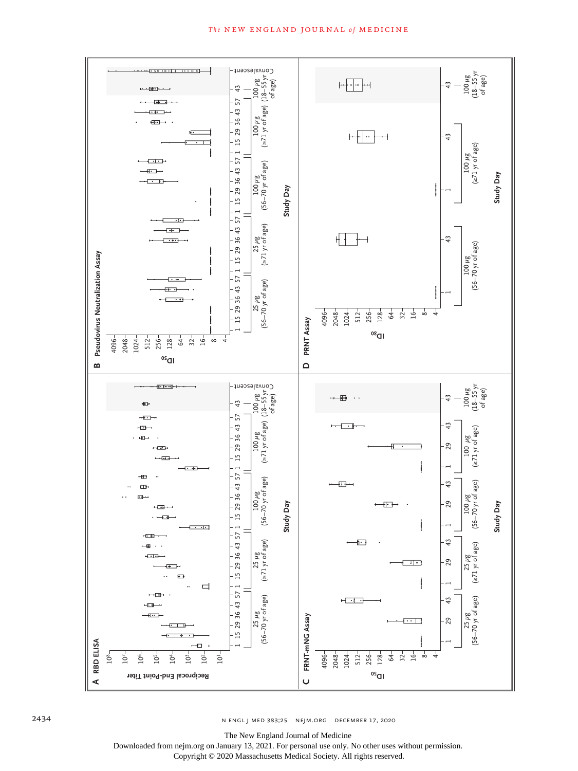#### **The NEW ENGLAND JOURNAL of MEDICINE**



2434 n engl j med 383;25 nejm.org December 17, 2020

The New England Journal of Medicine

Downloaded from nejm.org on January 13, 2021. For personal use only. No other uses without permission.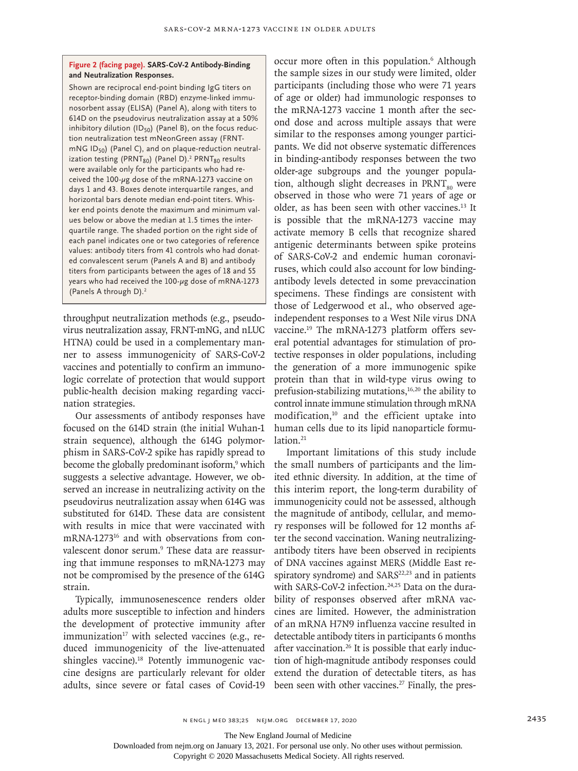#### **Figure 2 (facing page). SARS-CoV-2 Antibody-Binding and Neutralization Responses.**

Shown are reciprocal end-point binding IgG titers on receptor-binding domain (RBD) enzyme-linked immunosorbent assay (ELISA) (Panel A), along with titers to 614D on the pseudovirus neutralization assay at a 50% inhibitory dilution (ID $_{50}$ ) (Panel B), on the focus reduction neutralization test mNeonGreen assay (FRNT $mNG ID_{50}$ ) (Panel C), and on plaque-reduction neutralization testing (PRNT $_{80}$ ) (Panel D). $^{2}$  PRNT $_{80}$  results were available only for the participants who had received the 100-μg dose of the mRNA-1273 vaccine on days 1 and 43. Boxes denote interquartile ranges, and horizontal bars denote median end-point titers. Whisker end points denote the maximum and minimum values below or above the median at 1.5 times the interquartile range. The shaded portion on the right side of each panel indicates one or two categories of reference values: antibody titers from 41 controls who had donated convalescent serum (Panels A and B) and antibody titers from participants between the ages of 18 and 55 years who had received the 100-μg dose of mRNA-1273 (Panels A through D).2

throughput neutralization methods (e.g., pseudovirus neutralization assay, FRNT-mNG, and nLUC HTNA) could be used in a complementary manner to assess immunogenicity of SARS-CoV-2 vaccines and potentially to confirm an immunologic correlate of protection that would support public-health decision making regarding vaccination strategies.

Our assessments of antibody responses have focused on the 614D strain (the initial Wuhan-1 strain sequence), although the 614G polymorphism in SARS-CoV-2 spike has rapidly spread to become the globally predominant isoform,<sup>9</sup> which suggests a selective advantage. However, we observed an increase in neutralizing activity on the pseudovirus neutralization assay when 614G was substituted for 614D. These data are consistent with results in mice that were vaccinated with mRNA-127316 and with observations from convalescent donor serum.<sup>9</sup> These data are reassuring that immune responses to mRNA-1273 may not be compromised by the presence of the 614G strain.

Typically, immunosenescence renders older adults more susceptible to infection and hinders the development of protective immunity after immunization $17$  with selected vaccines (e.g., reduced immunogenicity of the live-attenuated shingles vaccine).<sup>18</sup> Potently immunogenic vaccine designs are particularly relevant for older adults, since severe or fatal cases of Covid-19

occur more often in this population.<sup>6</sup> Although the sample sizes in our study were limited, older participants (including those who were 71 years of age or older) had immunologic responses to the mRNA-1273 vaccine 1 month after the second dose and across multiple assays that were similar to the responses among younger participants. We did not observe systematic differences in binding-antibody responses between the two older-age subgroups and the younger population, although slight decreases in  $\text{PRNT}_{\text{on}}$  were observed in those who were 71 years of age or older, as has been seen with other vaccines.13 It is possible that the mRNA-1273 vaccine may activate memory B cells that recognize shared antigenic determinants between spike proteins of SARS-CoV-2 and endemic human coronaviruses, which could also account for low bindingantibody levels detected in some prevaccination specimens. These findings are consistent with those of Ledgerwood et al., who observed ageindependent responses to a West Nile virus DNA vaccine.<sup>19</sup> The mRNA-1273 platform offers several potential advantages for stimulation of protective responses in older populations, including the generation of a more immunogenic spike protein than that in wild-type virus owing to prefusion-stabilizing mutations,<sup>16,20</sup> the ability to control innate immune stimulation through mRNA modification,10 and the efficient uptake into human cells due to its lipid nanoparticle formulation.<sup>21</sup>

Important limitations of this study include the small numbers of participants and the limited ethnic diversity. In addition, at the time of this interim report, the long-term durability of immunogenicity could not be assessed, although the magnitude of antibody, cellular, and memory responses will be followed for 12 months after the second vaccination. Waning neutralizingantibody titers have been observed in recipients of DNA vaccines against MERS (Middle East respiratory syndrome) and  $SARS<sup>22,23</sup>$  and in patients with SARS-CoV-2 infection.<sup>24,25</sup> Data on the durability of responses observed after mRNA vaccines are limited. However, the administration of an mRNA H7N9 influenza vaccine resulted in detectable antibody titers in participants 6 months after vaccination.<sup>26</sup> It is possible that early induction of high-magnitude antibody responses could extend the duration of detectable titers, as has been seen with other vaccines.<sup>27</sup> Finally, the pres-

The New England Journal of Medicine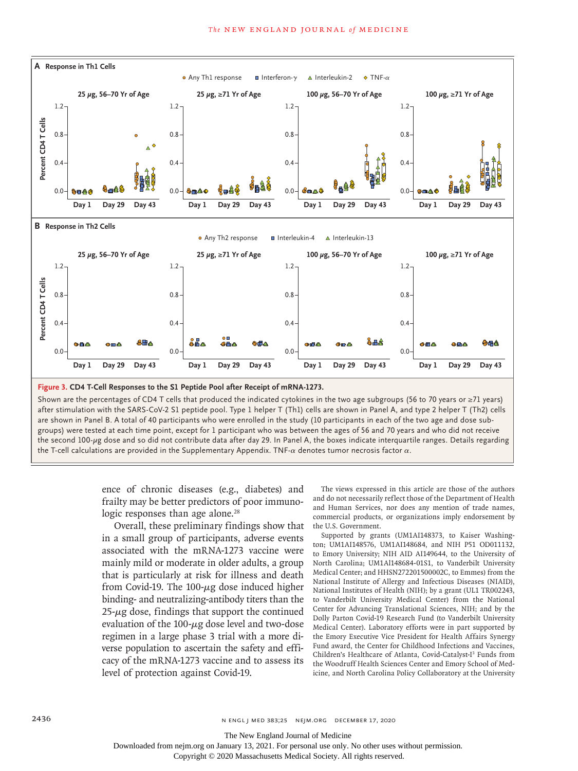

ence of chronic diseases (e.g., diabetes) and frailty may be better predictors of poor immunologic responses than age alone.<sup>28</sup>

Overall, these preliminary findings show that in a small group of participants, adverse events associated with the mRNA-1273 vaccine were mainly mild or moderate in older adults, a group that is particularly at risk for illness and death from Covid-19. The  $100-\mu$ g dose induced higher binding- and neutralizing-antibody titers than the  $25-\mu$ g dose, findings that support the continued evaluation of the 100-μg dose level and two-dose regimen in a large phase 3 trial with a more diverse population to ascertain the safety and efficacy of the mRNA-1273 vaccine and to assess its level of protection against Covid-19.

The views expressed in this article are those of the authors and do not necessarily reflect those of the Department of Health and Human Services, nor does any mention of trade names, commercial products, or organizations imply endorsement by the U.S. Government.

Supported by grants (UM1AI148373, to Kaiser Washington; UM1AI148576, UM1AI148684, and NIH P51 OD011132, to Emory University; NIH AID AI149644, to the University of North Carolina; UM1Al148684-01S1, to Vanderbilt University Medical Center; and HHSN272201500002C, to Emmes) from the National Institute of Allergy and Infectious Diseases (NIAID), National Institutes of Health (NIH); by a grant (UL1 TR002243, to Vanderbilt University Medical Center) from the National Center for Advancing Translational Sciences, NIH; and by the Dolly Parton Covid-19 Research Fund (to Vanderbilt University Medical Center). Laboratory efforts were in part supported by the Emory Executive Vice President for Health Affairs Synergy Fund award, the Center for Childhood Infections and Vaccines, Children's Healthcare of Atlanta, Covid-Catalyst-I<sup>3</sup> Funds from the Woodruff Health Sciences Center and Emory School of Medicine, and North Carolina Policy Collaboratory at the University

Downloaded from nejm.org on January 13, 2021. For personal use only. No other uses without permission.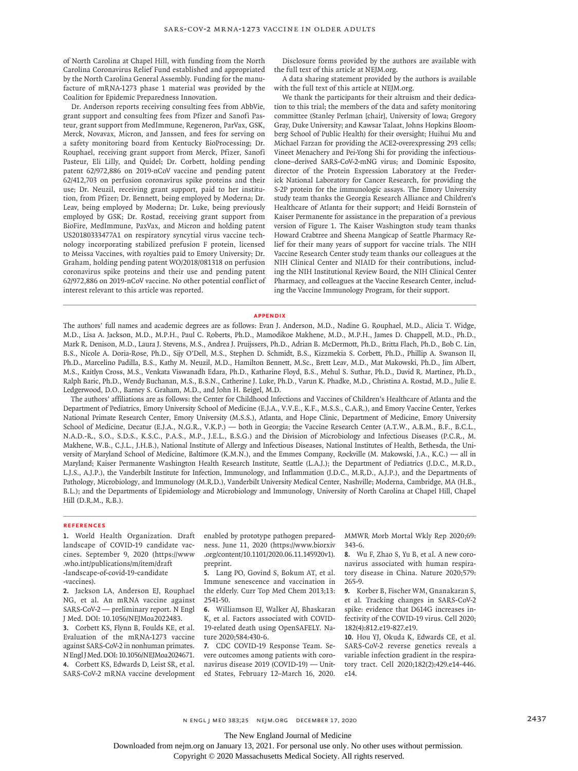of North Carolina at Chapel Hill, with funding from the North Carolina Coronavirus Relief Fund established and appropriated by the North Carolina General Assembly. Funding for the manufacture of mRNA-1273 phase 1 material was provided by the Coalition for Epidemic Preparedness Innovation.

Dr. Anderson reports receiving consulting fees from AbbVie, grant support and consulting fees from Pfizer and Sanofi Pasteur, grant support from MedImmune, Regeneron, ParVax, GSK, Merck, Novavax, Micron, and Janssen, and fees for serving on a safety monitoring board from Kentucky BioProcessing; Dr. Rouphael, receiving grant support from Merck, Pfizer, Sanofi Pasteur, Eli Lilly, and Quidel; Dr. Corbett, holding pending patent 62/972,886 on 2019-nCoV vaccine and pending patent 62/412,703 on perfusion coronavirus spike proteins and their use; Dr. Neuzil, receiving grant support, paid to her institution, from Pfizer; Dr. Bennett, being employed by Moderna; Dr. Leav, being employed by Moderna; Dr. Luke, being previously employed by GSK; Dr. Rostad, receiving grant support from BioFire, MedImmune, PaxVax, and Micron and holding patent US20180333477A1 on respiratory syncytial virus vaccine technology incorporating stabilized prefusion F protein, licensed to Meissa Vaccines, with royalties paid to Emory University; Dr. Graham, holding pending patent WO/2018/081318 on perfusion coronavirus spike proteins and their use and pending patent 62/972,886 on 2019-nCoV vaccine. No other potential conflict of interest relevant to this article was reported.

Disclosure forms provided by the authors are available with the full text of this article at NEJM.org.

A data sharing statement provided by the authors is available with the full text of this article at NEJM.org.

We thank the participants for their altruism and their dedication to this trial; the members of the data and safety monitoring committee (Stanley Perlman [chair], University of Iowa; Gregory Gray, Duke University; and Kawsar Talaat, Johns Hopkins Bloomberg School of Public Health) for their oversight; Huihui Mu and Michael Farzan for providing the ACE2-overexpressing 293 cells; Vineet Menachery and Pei-Yong Shi for providing the infectiousclone–derived SARS-CoV-2-mNG virus; and Dominic Esposito, director of the Protein Expression Laboratory at the Frederick National Laboratory for Cancer Research, for providing the S-2P protein for the immunologic assays. The Emory University study team thanks the Georgia Research Alliance and Children's Healthcare of Atlanta for their support; and Heidi Bornstein of Kaiser Permanente for assistance in the preparation of a previous version of Figure 1. The Kaiser Washington study team thanks Howard Crabtree and Sheena Mangicap of Seattle Pharmacy Relief for their many years of support for vaccine trials. The NIH Vaccine Research Center study team thanks our colleagues at the NIH Clinical Center and NIAID for their contributions, including the NIH Institutional Review Board, the NIH Clinical Center Pharmacy, and colleagues at the Vaccine Research Center, including the Vaccine Immunology Program, for their support.

#### **Appendix**

The authors' full names and academic degrees are as follows: Evan J. Anderson, M.D., Nadine G. Rouphael, M.D., Alicia T. Widge, M.D., Lisa A. Jackson, M.D., M.P.H., Paul C. Roberts, Ph.D., Mamodikoe Makhene, M.D., M.P.H., James D. Chappell, M.D., Ph.D., Mark R. Denison, M.D., Laura J. Stevens, M.S., Andrea J. Pruijssers, Ph.D., Adrian B. McDermott, Ph.D., Britta Flach, Ph.D., Bob C. Lin, B.S., Nicole A. Doria-Rose, Ph.D., Sijy O'Dell, M.S., Stephen D. Schmidt, B.S., Kizzmekia S. Corbett, Ph.D., Phillip A. Swanson II, Ph.D., Marcelino Padilla, B.S., Kathy M. Neuzil, M.D., Hamilton Bennett, M.Sc., Brett Leav, M.D., Mat Makowski, Ph.D., Jim Albert, M.S., Kaitlyn Cross, M.S., Venkata Viswanadh Edara, Ph.D., Katharine Floyd, B.S., Mehul S. Suthar, Ph.D., David R. Martinez, Ph.D., Ralph Baric, Ph.D., Wendy Buchanan, M.S., B.S.N., Catherine J. Luke, Ph.D., Varun K. Phadke, M.D., Christina A. Rostad, M.D., Julie E. Ledgerwood, D.O., Barney S. Graham, M.D., and John H. Beigel, M.D.

The authors' affiliations are as follows: the Center for Childhood Infections and Vaccines of Children's Healthcare of Atlanta and the Department of Pediatrics, Emory University School of Medicine (E.J.A., V.V.E., K.F., M.S.S., C.A.R.), and Emory Vaccine Center, Yerkes National Primate Research Center, Emory University (M.S.S.), Atlanta, and Hope Clinic, Department of Medicine, Emory University School of Medicine, Decatur (E.J.A., N.G.R., V.K.P.) — both in Georgia; the Vaccine Research Center (A.T.W., A.B.M., B.F., B.C.L., N.A.D.-R., S.O., S.D.S., K.S.C., P.A.S., M.P., J.E.L., B.S.G.) and the Division of Microbiology and Infectious Diseases (P.C.R., M. Makhene, W.B., C.J.L., J.H.B.), National Institute of Allergy and Infectious Diseases, National Institutes of Health, Bethesda, the University of Maryland School of Medicine, Baltimore (K.M.N.), and the Emmes Company, Rockville (M. Makowski, J.A., K.C.) — all in Maryland; Kaiser Permanente Washington Health Research Institute, Seattle (L.A.J.); the Department of Pediatrics (J.D.C., M.R.D., L.J.S., A.J.P.), the Vanderbilt Institute for Infection, Immunology, and Inflammation (J.D.C., M.R.D., A.J.P.), and the Departments of Pathology, Microbiology, and Immunology (M.R.D.), Vanderbilt University Medical Center, Nashville; Moderna, Cambridge, MA (H.B., B.L.); and the Departments of Epidemiology and Microbiology and Immunology, University of North Carolina at Chapel Hill, Chapel Hill (D.R.M., R.B.).

#### **References**

**1.** World Health Organization. Draft landscape of COVID-19 candidate vaccines. September 9, 2020 (https://www .who.int/publications/m/item/draft -landscape-of-covid-19-candidate -vaccines).

**2.** Jackson LA, Anderson EJ, Rouphael NG, et al. An mRNA vaccine against SARS-CoV-2 — preliminary report. N Engl J Med. DOI: 10.1056/NEJMoa2022483.

**3.** Corbett KS, Flynn B, Foulds KE, et al. Evaluation of the mRNA-1273 vaccine against SARS-CoV-2 in nonhuman primates. N Engl J Med. DOI: 10.1056/NEJMoa2024671. **4.** Corbett KS, Edwards D, Leist SR, et al. SARS-CoV-2 mRNA vaccine development enabled by prototype pathogen preparedness. June 11, 2020 (https://www.biorxiv .org/content/10.1101/2020.06.11.145920v1). preprint.

**5.** Lang PO, Govind S, Bokum AT, et al. Immune senescence and vaccination in the elderly. Curr Top Med Chem 2013;13: 2541-50.

**6.** Williamson EJ, Walker AJ, Bhaskaran K, et al. Factors associated with COVID-19-related death using OpenSAFELY. Nature 2020;584:430-6.

**7.** CDC COVID-19 Response Team. Severe outcomes among patients with coronavirus disease 2019 (COVID-19) — United States, February 12–March 16, 2020. MMWR Morb Mortal Wkly Rep 2020;69: 343-6.

**8.** Wu F, Zhao S, Yu B, et al. A new coronavirus associated with human respiratory disease in China. Nature 2020;579: 265-9.

**9.** Korber B, Fischer WM, Gnanakaran S, et al. Tracking changes in SARS-CoV-2 spike: evidence that D614G increases infectivity of the COVID-19 virus. Cell 2020; 182(4):812.e19-827.e19.

**10.** Hou YJ, Okuda K, Edwards CE, et al. SARS-CoV-2 reverse genetics reveals a variable infection gradient in the respiratory tract. Cell 2020;182(2):429.e14-446. e14.

n engl j med 383;25 nejm.org December 17, 2020 2437

The New England Journal of Medicine

Downloaded from nejm.org on January 13, 2021. For personal use only. No other uses without permission.